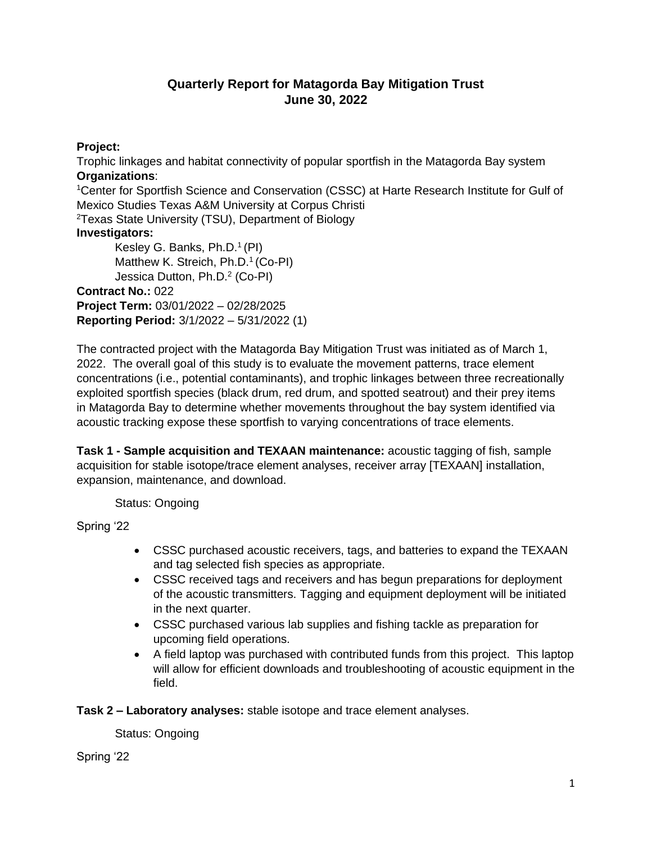## **Quarterly Report for Matagorda Bay Mitigation Trust June 30, 2022**

## **Project:**

Trophic linkages and habitat connectivity of popular sportfish in the Matagorda Bay system **Organizations**:

<sup>1</sup>Center for Sportfish Science and Conservation (CSSC) at Harte Research Institute for Gulf of Mexico Studies Texas A&M University at Corpus Christi

<sup>2</sup>Texas State University (TSU), Department of Biology

## **Investigators:**

Kesley G. Banks, Ph.D.<sup>1</sup> (PI) Matthew K. Streich, Ph.D.<sup>1</sup> (Co-PI) Jessica Dutton, Ph.D.<sup>2</sup> (Co-PI) **Contract No.:** 022 **Project Term:** 03/01/2022 – 02/28/2025 **Reporting Period:** 3/1/2022 – 5/31/2022 (1)

The contracted project with the Matagorda Bay Mitigation Trust was initiated as of March 1, 2022. The overall goal of this study is to evaluate the movement patterns, trace element concentrations (i.e., potential contaminants), and trophic linkages between three recreationally exploited sportfish species (black drum, red drum, and spotted seatrout) and their prey items in Matagorda Bay to determine whether movements throughout the bay system identified via acoustic tracking expose these sportfish to varying concentrations of trace elements.

**Task 1 - Sample acquisition and TEXAAN maintenance:** acoustic tagging of fish, sample acquisition for stable isotope/trace element analyses, receiver array [TEXAAN] installation, expansion, maintenance, and download.

Status: Ongoing

Spring '22

- CSSC purchased acoustic receivers, tags, and batteries to expand the TEXAAN and tag selected fish species as appropriate.
- CSSC received tags and receivers and has begun preparations for deployment of the acoustic transmitters. Tagging and equipment deployment will be initiated in the next quarter.
- CSSC purchased various lab supplies and fishing tackle as preparation for upcoming field operations.
- A field laptop was purchased with contributed funds from this project. This laptop will allow for efficient downloads and troubleshooting of acoustic equipment in the field.

**Task 2 – Laboratory analyses:** stable isotope and trace element analyses.

Status: Ongoing

Spring '22